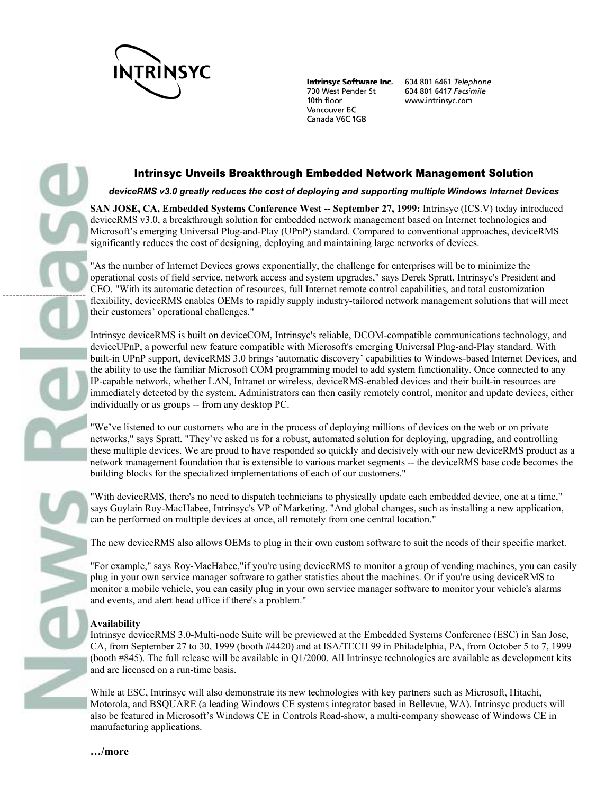

**Intrinsyc Software Inc.** 700 West Pender St 10th floor Vancouver BC Canada V6C 1G8

604 801 6461 Telephone 604 801 6417 Facsimile www.intrinsyc.com

## Intrinsyc Unveils Breakthrough Embedded Network Management Solution

*deviceRMS v3.0 greatly reduces the cost of deploying and supporting multiple Windows Internet Devices* 

**SAN JOSE, CA, Embedded Systems Conference West -- September 27, 1999:** Intrinsyc (ICS.V) today introduced deviceRMS v3.0, a breakthrough solution for embedded network management based on Internet technologies and Microsoft's emerging Universal Plug-and-Play (UPnP) standard. Compared to conventional approaches, deviceRMS significantly reduces the cost of designing, deploying and maintaining large networks of devices.

"As the number of Internet Devices grows exponentially, the challenge for enterprises will be to minimize the operational costs of field service, network access and system upgrades," says Derek Spratt, Intrinsyc's President and CEO. "With its automatic detection of resources, full Internet remote control capabilities, and total customization flexibility, deviceRMS enables OEMs to rapidly supply industry-tailored network management solutions that will meet their customers' operational challenges."

Intrinsyc deviceRMS is built on deviceCOM, Intrinsyc's reliable, DCOM-compatible communications technology, and deviceUPnP, a powerful new feature compatible with Microsoft's emerging Universal Plug-and-Play standard. With built-in UPnP support, deviceRMS 3.0 brings 'automatic discovery' capabilities to Windows-based Internet Devices, and the ability to use the familiar Microsoft COM programming model to add system functionality. Once connected to any IP-capable network, whether LAN, Intranet or wireless, deviceRMS-enabled devices and their built-in resources are immediately detected by the system. Administrators can then easily remotely control, monitor and update devices, either individually or as groups -- from any desktop PC.

"We've listened to our customers who are in the process of deploying millions of devices on the web or on private networks," says Spratt. "They've asked us for a robust, automated solution for deploying, upgrading, and controlling these multiple devices. We are proud to have responded so quickly and decisively with our new deviceRMS product as a network management foundation that is extensible to various market segments -- the deviceRMS base code becomes the building blocks for the specialized implementations of each of our customers."

"With deviceRMS, there's no need to dispatch technicians to physically update each embedded device, one at a time," says Guylain Roy-MacHabee, Intrinsyc's VP of Marketing. "And global changes, such as installing a new application, can be performed on multiple devices at once, all remotely from one central location."

The new deviceRMS also allows OEMs to plug in their own custom software to suit the needs of their specific market.

"For example," says Roy-MacHabee,"if you're using deviceRMS to monitor a group of vending machines, you can easily plug in your own service manager software to gather statistics about the machines. Or if you're using deviceRMS to monitor a mobile vehicle, you can easily plug in your own service manager software to monitor your vehicle's alarms and events, and alert head office if there's a problem."

## **Availability**

-------------------------

Intrinsyc deviceRMS 3.0-Multi-node Suite will be previewed at the Embedded Systems Conference (ESC) in San Jose, CA, from September 27 to 30, 1999 (booth #4420) and at ISA/TECH 99 in Philadelphia, PA, from October 5 to 7, 1999 (booth #845). The full release will be available in Q1/2000. All Intrinsyc technologies are available as development kits and are licensed on a run-time basis.

While at ESC, Intrinsyc will also demonstrate its new technologies with key partners such as Microsoft, Hitachi, Motorola, and BSQUARE (a leading Windows CE systems integrator based in Bellevue, WA). Intrinsyc products will also be featured in Microsoft's Windows CE in Controls Road-show, a multi-company showcase of Windows CE in manufacturing applications.